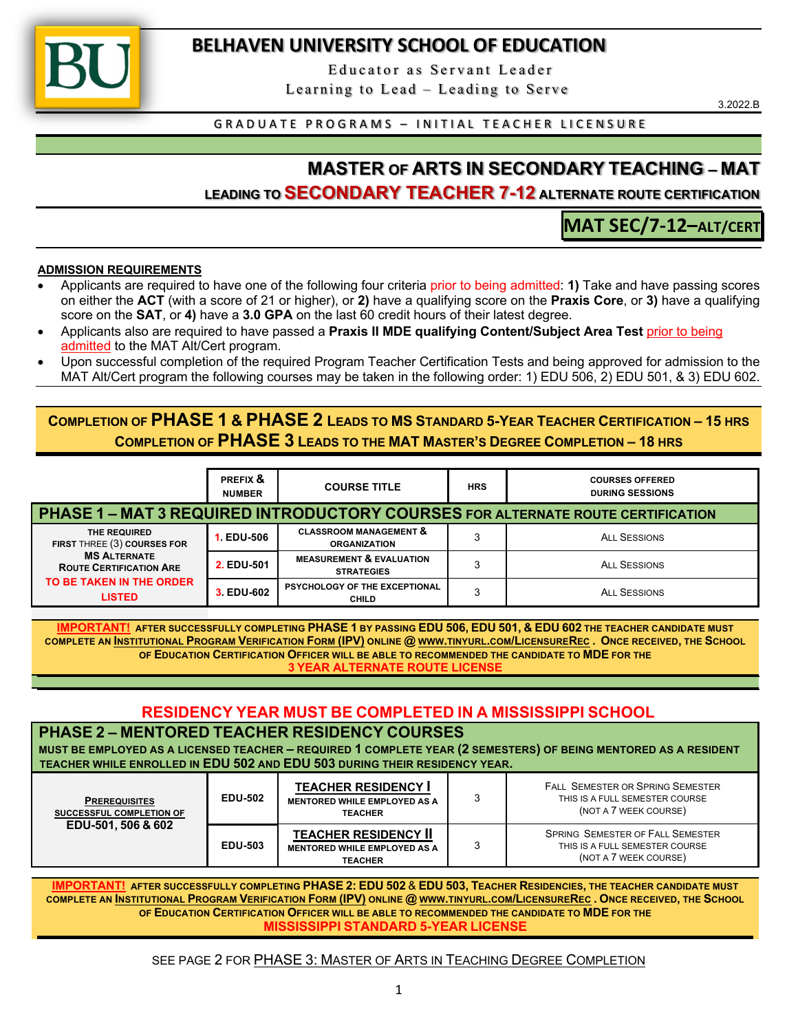

## **BELHAVEN UNIVERSITY SCHOOL OF EDUCATION**

 Educator as Servant Leader Learning to Lead – Leading to Serve

3.2022.B

### GRADUATE PROGRAMS – INITIAL TEACHER LICENSURE

# **MASTER OF ARTS IN SECONDARY TEACHING – MAT**

**LEADING TO SECONDARY TEACHER 7-12 ALTERNATE ROUTE CERTIFICATION**

**MAT SEC/7-12–ALT/CERT**

#### **ADMISSION REQUIREMENTS**

- Applicants are required to have one of the following four criteria prior to being admitted: **1)** Take and have passing scores on either the **ACT** (with a score of 21 or higher), or **2)** have a qualifying score on the **Praxis Core**, or **3)** have a qualifying score on the **SAT**, or **4)** have a **3.0 GPA** on the last 60 credit hours of their latest degree.
- Applicants also are required to have passed a **Praxis II MDE qualifying Content/Subject Area Test** prior to being admitted to the MAT Alt/Cert program.
- Upon successful completion of the required Program Teacher Certification Tests and being approved for admission to the MAT Alt/Cert program the following courses may be taken in the following order: 1) EDU 506, 2) EDU 501, & 3) EDU 602.

# **COMPLETION OF PHASE 1 & PHASE 2 LEADS TO MS STANDARD 5-YEAR TEACHER CERTIFICATION – 15 HRS COMPLETION OF PHASE 3 LEADS TO THE MAT MASTER'S DEGREE COMPLETION – 18 HRS**

|                                                                                                                                                   | <b>PREFIX &amp;</b><br><b>NUMBER</b> | <b>COURSE TITLE</b>                                      | <b>HRS</b> | <b>COURSES OFFERED</b><br><b>DURING SESSIONS</b> |  |  |  |  |  |
|---------------------------------------------------------------------------------------------------------------------------------------------------|--------------------------------------|----------------------------------------------------------|------------|--------------------------------------------------|--|--|--|--|--|
| <b>PHASE 1 - MAT 3 REQUIRED INTRODUCTORY COURSES FOR ALTERNATE ROUTE CERTIFICATION</b>                                                            |                                      |                                                          |            |                                                  |  |  |  |  |  |
| THE REQUIRED<br>FIRST THREE (3) COURSES FOR<br><b>MS ALTERNATE</b><br><b>ROUTE CERTIFICATION ARE</b><br>TO BE TAKEN IN THE ORDER<br><b>LISTED</b> | 1 EDU-506                            | <b>CLASSROOM MANAGEMENT &amp;</b><br><b>ORGANIZATION</b> |            | <b>ALL SESSIONS</b>                              |  |  |  |  |  |
|                                                                                                                                                   | 2. EDU-501                           | <b>MEASUREMENT &amp; EVALUATION</b><br><b>STRATEGIES</b> |            | <b>ALL SESSIONS</b>                              |  |  |  |  |  |
|                                                                                                                                                   | 3 EDU-602                            | <b>PSYCHOLOGY OF THE EXCEPTIONAL</b><br><b>CHILD</b>     | ◠          | <b>ALL SESSIONS</b>                              |  |  |  |  |  |

**IMPORTANT! AFTER SUCCESSFULLY COMPLETING PHASE 1 BY PASSING EDU 506, EDU 501, & EDU 602 THE TEACHER CANDIDATE MUST COMPLETE AN INSTITUTIONAL PROGRAM VERIFICATION FORM (IPV) ONLINE @ WWW.TINYURL.COM/LICENSUREREC . ONCE RECEIVED, THE SCHOOL OF EDUCATION CERTIFICATION OFFICER WILL BE ABLE TO RECOMMENDED THE CANDIDATE TO MDE FOR THE 3 YEAR ALTERNATE ROUTE LICENSE**

### **RESIDENCY YEAR MUST BE COMPLETED IN A MISSISSIPPI SCHOOL**

### **PHASE 2 – MENTORED TEACHER RESIDENCY COURSES**

**MUST BE EMPLOYED AS A LICENSED TEACHER – REQUIRED 1 COMPLETE YEAR (2 SEMESTERS) OF BEING MENTORED AS A RESIDENT TEACHER WHILE ENROLLED IN EDU 502 AND EDU 503 DURING THEIR RESIDENCY YEAR.**

| <b>PREREQUISITES</b><br>SUCCESSFUL COMPLETION OF<br>EDU-501, 506 & 602 | <b>EDU-502</b> | <b>TEACHER RESIDENCY</b><br><b>MENTORED WHILE EMPLOYED AS A</b><br><b>TEACHER</b>    | ◠ | <b>FALL SEMESTER OR SPRING SEMESTER</b><br>THIS IS A FULL SEMESTER COURSE<br>(NOT A 7 WEEK COURSE) |
|------------------------------------------------------------------------|----------------|--------------------------------------------------------------------------------------|---|----------------------------------------------------------------------------------------------------|
|                                                                        | <b>EDU-503</b> | <b>TEACHER RESIDENCY II</b><br><b>MENTORED WHILE EMPLOYED AS A</b><br><b>TEACHER</b> | ◠ | <b>SPRING SEMESTER OF FALL SEMESTER</b><br>THIS IS A FULL SEMESTER COURSE<br>(NOT A 7 WEEK COURSE) |

**IMPORTANT! AFTER SUCCESSFULLY COMPLETING PHASE 2: EDU 502** & **EDU 503, TEACHER RESIDENCIES, THE TEACHER CANDIDATE MUST COMPLETE AN INSTITUTIONAL PROGRAM VERIFICATION FORM (IPV) ONLINE @ WWW.TINYURL.COM/LICENSUREREC . ONCE RECEIVED, THE SCHOOL OF EDUCATION CERTIFICATION OFFICER WILL BE ABLE TO RECOMMENDED THE CANDIDATE TO MDE FOR THE MISSISSIPPI STANDARD 5-YEAR LICENSE**

SEE PAGE 2 FOR PHASE 3: MASTER OF ARTS IN TEACHING DEGREE COMPLETION